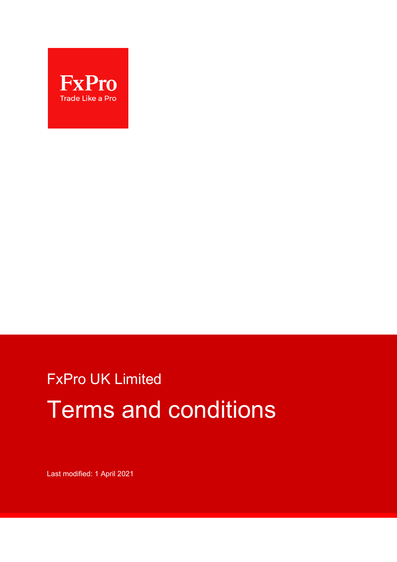

# FxPro UK Limited Terms and conditions

Last modified: 1 April 2021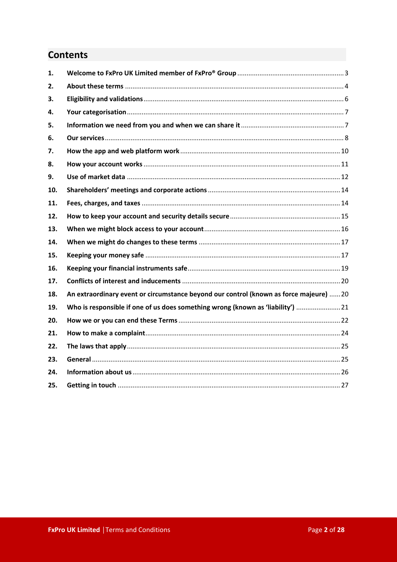# **Contents**

| 1.  |                                                                                        |  |
|-----|----------------------------------------------------------------------------------------|--|
| 2.  |                                                                                        |  |
| З.  |                                                                                        |  |
| 4.  |                                                                                        |  |
| 5.  |                                                                                        |  |
| 6.  |                                                                                        |  |
| 7.  |                                                                                        |  |
| 8.  |                                                                                        |  |
| 9.  |                                                                                        |  |
| 10. |                                                                                        |  |
| 11. |                                                                                        |  |
| 12. |                                                                                        |  |
| 13. |                                                                                        |  |
| 14. |                                                                                        |  |
| 15. |                                                                                        |  |
| 16. |                                                                                        |  |
| 17. |                                                                                        |  |
| 18. | An extraordinary event or circumstance beyond our control (known as force majeure)  20 |  |
| 19. | Who is responsible if one of us does something wrong (known as 'liability')  21        |  |
| 20. |                                                                                        |  |
| 21. |                                                                                        |  |
| 22. |                                                                                        |  |
| 23. |                                                                                        |  |
| 24. |                                                                                        |  |
| 25. |                                                                                        |  |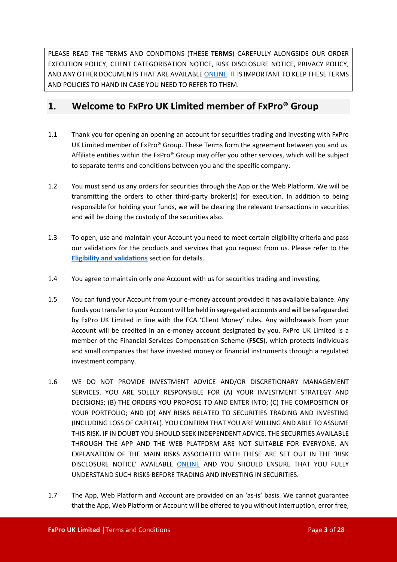PLEASE READ THE TERMS AND CONDITIONS (THESE **TERMS**) CAREFULLY ALONGSIDE OUR ORDER EXECUTION POLICY, CLIENT CATEGORISATION NOTICE, RISK DISCLOSURE NOTICE, PRIVACY POLICY, AND ANY OTHER DOCUMENTS THAT ARE AVAILABL[E ONLINE.](https://bnkpro.com/) IT IS IMPORTANT TO KEEP THESE TERMS AND POLICIES TO HAND IN CASE YOU NEED TO REFER TO THEM.

# <span id="page-2-0"></span>**1. Welcome to FxPro UK Limited member of FxPro® Group**

- 1.1 Thank you for opening an opening an account for securities trading and investing with FxPro UK Limited member of FxPro® Group. These Terms form the agreement between you and us. Affiliate entities within the FxPro® Group may offer you other services, which will be subject to separate terms and conditions between you and the specific company.
- 1.2 You must send us any orders for securities through the App or the Web Platform. We will be transmitting the orders to other third-party broker(s) for execution. In addition to being responsible for holding your funds, we will be clearing the relevant transactions in securities and will be doing the custody of the securities also.
- 1.3 To open, use and maintain your Account you need to meet certain eligibility criteria and pass our validations for the products and services that you request from us. Please refer to the **[Eligibility and validations](#page-5-0)** section for details.
- 1.4 You agree to maintain only one Account with us for securities trading and investing.
- 1.5 You can fund your Account from your e-money account provided it has available balance. Any funds you transfer to your Account will be held in segregated accounts and will be safeguarded by FxPro UK Limited in line with the FCA 'Client Money' rules. Any withdrawals from your Account will be credited in an e-money account designated by you. FxPro UK Limited is a member of the Financial Services Compensation Scheme (**FSCS**), which protects individuals and small companies that have invested money or financial instruments through a regulated investment company.
- 1.6 WE DO NOT PROVIDE INVESTMENT ADVICE AND/OR DISCRETIONARY MANAGEMENT SERVICES. YOU ARE SOLELY RESPONSIBLE FOR (A) YOUR INVESTMENT STRATEGY AND DECISIONS; (B) THE ORDERS YOU PROPOSE TO AND ENTER INTO; (C) THE COMPOSITION OF YOUR PORTFOLIO; AND (D) ANY RISKS RELATED TO SECURITIES TRADING AND INVESTING (INCLUDING LOSS OF CAPITAL). YOU CONFIRM THAT YOU ARE WILLING AND ABLE TO ASSUME THIS RISK. IF IN DOUBT YOU SHOULD SEEK INDEPENDENT ADVICE. THE SECURITIES AVAILABLE THROUGH THE APP AND THE WEB PLATFORM ARE NOT SUITABLE FOR EVERYONE. AN EXPLANATION OF THE MAIN RISKS ASSOCIATED WITH THESE ARE SET OUT IN THE 'RISK DISCLOSURE NOTICE' AVAILABLE [ONLINE](https://bnkpro.com/) AND YOU SHOULD ENSURE THAT YOU FULLY UNDERSTAND SUCH RISKS BEFORE TRADING AND INVESTING IN SECURITIES.
- 1.7 The App, Web Platform and Account are provided on an 'as-is' basis. We cannot guarantee that the App, Web Platform or Account will be offered to you without interruption, error free,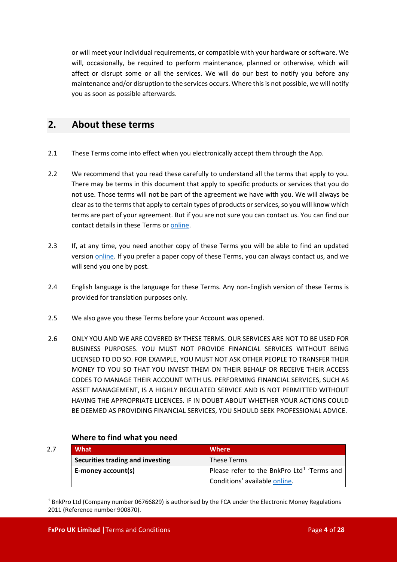or will meet your individual requirements, or compatible with your hardware or software. We will, occasionally, be required to perform maintenance, planned or otherwise, which will affect or disrupt some or all the services. We will do our best to notify you before any maintenance and/or disruption to the services occurs. Where this is not possible, we will notify you as soon as possible afterwards.

# <span id="page-3-0"></span>**2. About these terms**

- 2.1 These Terms come into effect when you electronically accept them through the App.
- 2.2 We recommend that you read these carefully to understand all the terms that apply to you. There may be terms in this document that apply to specific products or services that you do not use. Those terms will not be part of the agreement we have with you. We will always be clear as to the terms that apply to certain types of products or services, so you will know which terms are part of your agreement. But if you are not sure you can contact us. You can find our contact details in these Terms or [online](https://bnkpro.com/).
- 2.3 If, at any time, you need another copy of these Terms you will be able to find an updated version [online](https://bnkpro.com/). If you prefer a paper copy of these Terms, you can always contact us, and we will send you one by post.
- 2.4 English language is the language for these Terms. Any non-English version of these Terms is provided for translation purposes only.
- 2.5 We also gave you these Terms before your Account was opened.
- 2.6 ONLY YOU AND WE ARE COVERED BY THESE TERMS. OUR SERVICES ARE NOT TO BE USED FOR BUSINESS PURPOSES. YOU MUST NOT PROVIDE FINANCIAL SERVICES WITHOUT BEING LICENSED TO DO SO. FOR EXAMPLE, YOU MUST NOT ASK OTHER PEOPLE TO TRANSFER THEIR MONEY TO YOU SO THAT YOU INVEST THEM ON THEIR BEHALF OR RECEIVE THEIR ACCESS CODES TO MANAGE THEIR ACCOUNT WITH US. PERFORMING FINANCIAL SERVICES, SUCH AS ASSET MANAGEMENT, IS A HIGHLY REGULATED SERVICE AND IS NOT PERMITTED WITHOUT HAVING THE APPROPRIATE LICENCES. IF IN DOUBT ABOUT WHETHER YOUR ACTIONS COULD BE DEEMED AS PROVIDING FINANCIAL SERVICES, YOU SHOULD SEEK PROFESSIONAL ADVICE.

## **Where to find what you need**

| 2.7 | What                                    | <b>Where</b>                                           |
|-----|-----------------------------------------|--------------------------------------------------------|
|     | <b>Securities trading and investing</b> | These Terms                                            |
|     | E-money account(s)                      | Please refer to the BnkPro Ltd <sup>1</sup> 'Terms and |
|     |                                         | Conditions' available online.                          |

<span id="page-3-1"></span> $1$  BnkPro Ltd (Company number 06766829) is authorised by the FCA under the Electronic Money Regulations 2011 (Reference number 900870).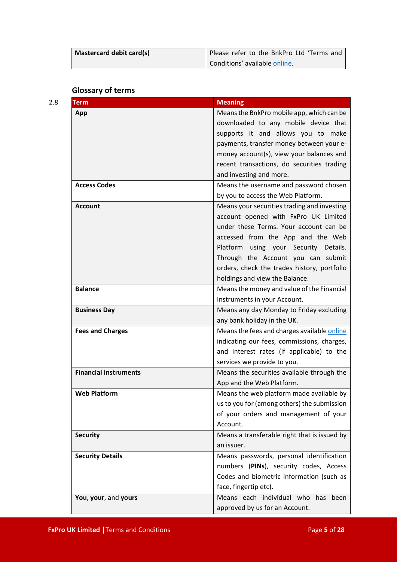| Mastercard debit card(s) | Please refer to the BnkPro Ltd 'Terms and |
|--------------------------|-------------------------------------------|
|                          | Conditions' available online.             |

## **Glossary of terms**

| <b>Term</b>                  | <b>Meaning</b>                               |
|------------------------------|----------------------------------------------|
| App                          | Means the BnkPro mobile app, which can be    |
|                              | downloaded to any mobile device that         |
|                              | supports it and allows you to make           |
|                              | payments, transfer money between your e-     |
|                              | money account(s), view your balances and     |
|                              | recent transactions, do securities trading   |
|                              | and investing and more.                      |
| <b>Access Codes</b>          | Means the username and password chosen       |
|                              | by you to access the Web Platform.           |
| <b>Account</b>               | Means your securities trading and investing  |
|                              | account opened with FxPro UK Limited         |
|                              | under these Terms. Your account can be       |
|                              | accessed from the App and the Web            |
|                              | Platform using your Security Details.        |
|                              | Through the Account you can submit           |
|                              | orders, check the trades history, portfolio  |
|                              | holdings and view the Balance.               |
| <b>Balance</b>               | Means the money and value of the Financial   |
|                              | Instruments in your Account.                 |
| <b>Business Day</b>          | Means any day Monday to Friday excluding     |
|                              | any bank holiday in the UK.                  |
| <b>Fees and Charges</b>      | Means the fees and charges available online  |
|                              | indicating our fees, commissions, charges,   |
|                              | and interest rates (if applicable) to the    |
|                              | services we provide to you.                  |
| <b>Financial Instruments</b> | Means the securities available through the   |
|                              | App and the Web Platform.                    |
| <b>Web Platform</b>          | Means the web platform made available by     |
|                              | us to you for (among others) the submission  |
|                              | of your orders and management of your        |
|                              | Account.                                     |
| <b>Security</b>              | Means a transferable right that is issued by |
|                              | an issuer.                                   |
| <b>Security Details</b>      | Means passwords, personal identification     |
|                              | numbers (PINs), security codes, Access       |
|                              | Codes and biometric information (such as     |
|                              | face, fingertip etc).                        |
| You, your, and yours         | Means each individual who has been           |
|                              | approved by us for an Account.               |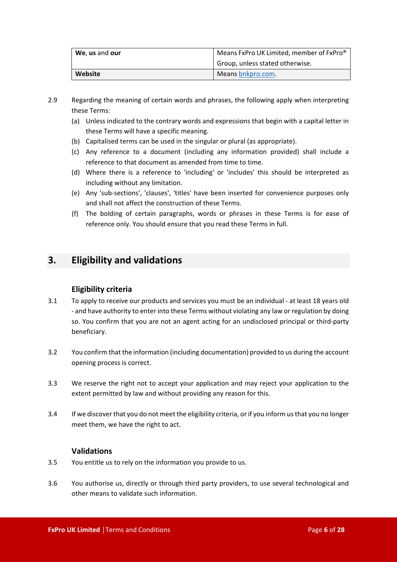| We, us and our | Means FxPro UK Limited, member of FxPro <sup>®</sup> |
|----------------|------------------------------------------------------|
|                | Group, unless stated otherwise.                      |
| Website        | Means bnkpro.com.                                    |

- 2.9 Regarding the meaning of certain words and phrases, the following apply when interpreting these Terms:
	- (a) Unless indicated to the contrary words and expressions that begin with a capital letter in these Terms will have a specific meaning.
	- (b) Capitalised terms can be used in the singular or plural (as appropriate).
	- (c) Any reference to a document (including any information provided) shall include a reference to that document as amended from time to time.
	- (d) Where there is a reference to 'including' or 'includes' this should be interpreted as including without any limitation.
	- (e) Any 'sub-sections', 'clauses', 'titles' have been inserted for convenience purposes only and shall not affect the construction of these Terms.
	- (f) The bolding of certain paragraphs, words or phrases in these Terms is for ease of reference only. You should ensure that you read these Terms in full.

# <span id="page-5-0"></span>**3. Eligibility and validations**

## **Eligibility criteria**

- 3.1 To apply to receive our products and services you must be an individual at least 18 years old - and have authority to enter into these Terms without violating any law or regulation by doing so. You confirm that you are not an agent acting for an undisclosed principal or third-party beneficiary.
- 3.2 You confirm that the information (including documentation) provided to us during the account opening process is correct.
- 3.3 We reserve the right not to accept your application and may reject your application to the extent permitted by law and without providing any reason for this.
- 3.4 If we discover that you do not meet the eligibility criteria, or if you inform us that you no longer meet them, we have the right to act.

## **Validations**

- 3.5 You entitle us to rely on the information you provide to us.
- 3.6 You authorise us, directly or through third party providers, to use several technological and other means to validate such information.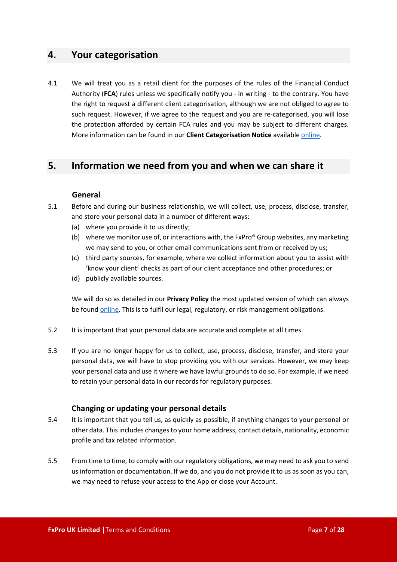## <span id="page-6-0"></span>**4. Your categorisation**

4.1 We will treat you as a retail client for the purposes of the rules of the Financial Conduct Authority (**FCA**) rules unless we specifically notify you - in writing - to the contrary. You have the right to request a different client categorisation, although we are not obliged to agree to such request. However, if we agree to the request and you are re-categorised, you will lose the protection afforded by certain FCA rules and you may be subject to different charges. More information can be found in our **Client Categorisation Notice** available [online](https://bnkpro.com/).

## <span id="page-6-1"></span>**5. Information we need from you and when we can share it**

#### **General**

- 5.1 Before and during our business relationship, we will collect, use, process, disclose, transfer, and store your personal data in a number of different ways:
	- (a) where you provide it to us directly;
	- (b) where we monitor use of, or interactions with, the FxPro® Group websites, any marketing we may send to you, or other email communications sent from or received by us;
	- (c) third party sources, for example, where we collect information about you to assist with 'know your client' checks as part of our client acceptance and other procedures; or
	- (d) publicly available sources.

We will do so as detailed in our **Privacy Policy** the most updated version of which can always be found [online](https://bnkpro.com/). This is to fulfil our legal, regulatory, or risk management obligations.

- 5.2 It is important that your personal data are accurate and complete at all times.
- 5.3 If you are no longer happy for us to collect, use, process, disclose, transfer, and store your personal data, we will have to stop providing you with our services. However, we may keep your personal data and use it where we have lawful grounds to do so. For example, if we need to retain your personal data in our records for regulatory purposes.

## **Changing or updating your personal details**

- 5.4 It is important that you tell us, as quickly as possible, if anything changes to your personal or other data. This includes changes to your home address, contact details, nationality, economic profile and tax related information.
- 5.5 From time to time, to comply with our regulatory obligations, we may need to ask you to send us information or documentation. If we do, and you do not provide it to us as soon as you can, we may need to refuse your access to the App or close your Account.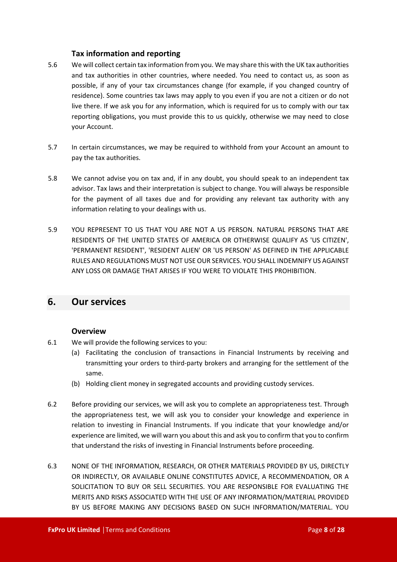## **Tax information and reporting**

- 5.6 We will collect certain tax information from you. We may share this with the UK tax authorities and tax authorities in other countries, where needed. You need to contact us, as soon as possible, if any of your tax circumstances change (for example, if you changed country of residence). Some countries tax laws may apply to you even if you are not a citizen or do not live there. If we ask you for any information, which is required for us to comply with our tax reporting obligations, you must provide this to us quickly, otherwise we may need to close your Account.
- 5.7 In certain circumstances, we may be required to withhold from your Account an amount to pay the tax authorities.
- 5.8 We cannot advise you on tax and, if in any doubt, you should speak to an independent tax advisor. Tax laws and their interpretation is subject to change. You will always be responsible for the payment of all taxes due and for providing any relevant tax authority with any information relating to your dealings with us.
- 5.9 YOU REPRESENT TO US THAT YOU ARE NOT A US PERSON. NATURAL PERSONS THAT ARE RESIDENTS OF THE UNITED STATES OF AMERICA OR OTHERWISE QUALIFY AS 'US CITIZEN', 'PERMANENT RESIDENT', 'RESIDENT ALIEN' OR 'US PERSON' AS DEFINED IN THE APPLICABLE RULES AND REGULATIONS MUST NOT USE OUR SERVICES. YOU SHALL INDEMNIFY US AGAINST ANY LOSS OR DAMAGE THAT ARISES IF YOU WERE TO VIOLATE THIS PROHIBITION.

## <span id="page-7-0"></span>**6. Our services**

#### **Overview**

- 6.1 We will provide the following services to you:
	- (a) Facilitating the conclusion of transactions in Financial Instruments by receiving and transmitting your orders to third-party brokers and arranging for the settlement of the same.
	- (b) Holding client money in segregated accounts and providing custody services.
- 6.2 Before providing our services, we will ask you to complete an appropriateness test. Through the appropriateness test, we will ask you to consider your knowledge and experience in relation to investing in Financial Instruments. If you indicate that your knowledge and/or experience are limited, we will warn you about this and ask you to confirm that you to confirm that understand the risks of investing in Financial Instruments before proceeding.
- 6.3 NONE OF THE INFORMATION, RESEARCH, OR OTHER MATERIALS PROVIDED BY US, DIRECTLY OR INDIRECTLY, OR AVAILABLE ONLINE CONSTITUTES ADVICE, A RECOMMENDATION, OR A SOLICITATION TO BUY OR SELL SECURITIES. YOU ARE RESPONSIBLE FOR EVALUATING THE MERITS AND RISKS ASSOCIATED WITH THE USE OF ANY INFORMATION/MATERIAL PROVIDED BY US BEFORE MAKING ANY DECISIONS BASED ON SUCH INFORMATION/MATERIAL. YOU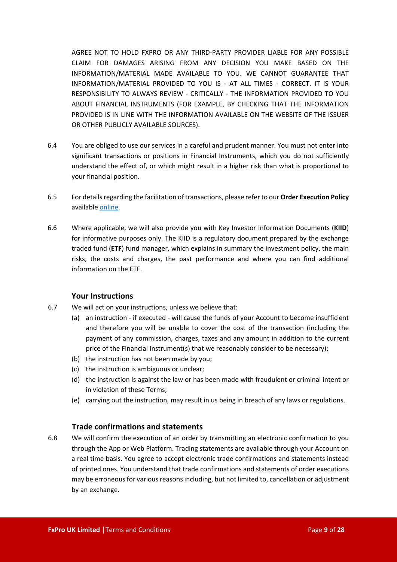AGREE NOT TO HOLD FXPRO OR ANY THIRD-PARTY PROVIDER LIABLE FOR ANY POSSIBLE CLAIM FOR DAMAGES ARISING FROM ANY DECISION YOU MAKE BASED ON THE INFORMATION/MATERIAL MADE AVAILABLE TO YOU. WE CANNOT GUARANTEE THAT INFORMATION/MATERIAL PROVIDED TO YOU IS - AT ALL TIMES - CORRECT. IT IS YOUR RESPONSIBILITY TO ALWAYS REVIEW - CRITICALLY - THE INFORMATION PROVIDED TO YOU ABOUT FINANCIAL INSTRUMENTS (FOR EXAMPLE, BY CHECKING THAT THE INFORMATION PROVIDED IS IN LINE WITH THE INFORMATION AVAILABLE ON THE WEBSITE OF THE ISSUER OR OTHER PUBLICLY AVAILABLE SOURCES).

- 6.4 You are obliged to use our services in a careful and prudent manner. You must not enter into significant transactions or positions in Financial Instruments, which you do not sufficiently understand the effect of, or which might result in a higher risk than what is proportional to your financial position.
- 6.5 For details regarding the facilitation of transactions, please refer to our **Order Execution Policy** availabl[e online](https://www.bnkpro.com/).
- 6.6 Where applicable, we will also provide you with Key Investor Information Documents (**KIID**) for informative purposes only. The KIID is a regulatory document prepared by the exchange traded fund (**ETF**) fund manager, which explains in summary the investment policy, the main risks, the costs and charges, the past performance and where you can find additional information on the ETF.

#### **Your Instructions**

- 6.7 We will act on your instructions, unless we believe that:
	- (a) an instruction if executed will cause the funds of your Account to become insufficient and therefore you will be unable to cover the cost of the transaction (including the payment of any commission, charges, taxes and any amount in addition to the current price of the Financial Instrument(s) that we reasonably consider to be necessary);
	- (b) the instruction has not been made by you;
	- (c) the instruction is ambiguous or unclear;
	- (d) the instruction is against the law or has been made with fraudulent or criminal intent or in violation of these Terms;
	- (e) carrying out the instruction, may result in us being in breach of any laws or regulations.

## **Trade confirmations and statements**

6.8 We will confirm the execution of an order by transmitting an electronic confirmation to you through the App or Web Platform. Trading statements are available through your Account on a real time basis. You agree to accept electronic trade confirmations and statements instead of printed ones. You understand that trade confirmations and statements of order executions may be erroneous for various reasons including, but not limited to, cancellation or adjustment by an exchange.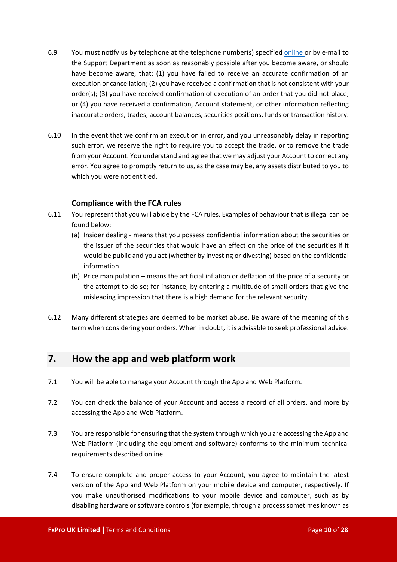- 6.9 You must notify us by telephone at the telephone number(s) specified [online](https://bnkpro.com/) or by e-mail to the Support Department as soon as reasonably possible after you become aware, or should have become aware, that: (1) you have failed to receive an accurate confirmation of an execution or cancellation; (2) you have received a confirmation that is not consistent with your order(s); (3) you have received confirmation of execution of an order that you did not place; or (4) you have received a confirmation, Account statement, or other information reflecting inaccurate orders, trades, account balances, securities positions, funds or transaction history.
- 6.10 In the event that we confirm an execution in error, and you unreasonably delay in reporting such error, we reserve the right to require you to accept the trade, or to remove the trade from your Account. You understand and agree that we may adjust your Account to correct any error. You agree to promptly return to us, as the case may be, any assets distributed to you to which you were not entitled.

## **Compliance with the FCA rules**

- 6.11 You represent that you will abide by the FCA rules. Examples of behaviour that is illegal can be found below:
	- (a) Insider dealing means that you possess confidential information about the securities or the issuer of the securities that would have an effect on the price of the securities if it would be public and you act (whether by investing or divesting) based on the confidential information.
	- (b) Price manipulation means the artificial inflation or deflation of the price of a security or the attempt to do so; for instance, by entering a multitude of small orders that give the misleading impression that there is a high demand for the relevant security.
- 6.12 Many different strategies are deemed to be market abuse. Be aware of the meaning of this term when considering your orders. When in doubt, it is advisable to seek professional advice.

## <span id="page-9-0"></span>**7. How the app and web platform work**

- 7.1 You will be able to manage your Account through the App and Web Platform.
- 7.2 You can check the balance of your Account and access a record of all orders, and more by accessing the App and Web Platform.
- 7.3 You are responsible for ensuring that the system through which you are accessing the App and Web Platform (including the equipment and software) conforms to the minimum technical requirements described online.
- 7.4 To ensure complete and proper access to your Account, you agree to maintain the latest version of the App and Web Platform on your mobile device and computer, respectively. If you make unauthorised modifications to your mobile device and computer, such as by disabling hardware or software controls (for example, through a process sometimes known as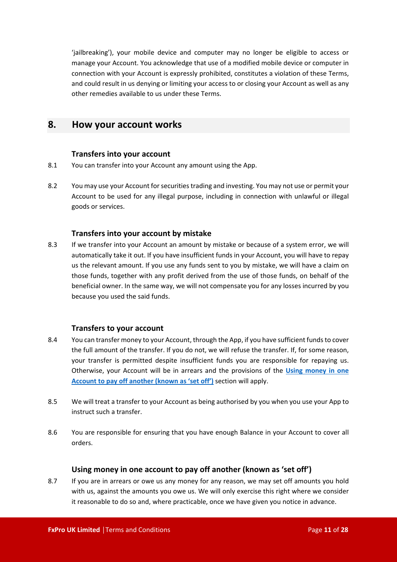'jailbreaking'), your mobile device and computer may no longer be eligible to access or manage your Account. You acknowledge that use of a modified mobile device or computer in connection with your Account is expressly prohibited, constitutes a violation of these Terms, and could result in us denying or limiting your access to or closing your Account as well as any other remedies available to us under these Terms.

## <span id="page-10-0"></span>**8. How your account works**

## **Transfers into your account**

- 8.1 You can transfer into your Account any amount using the App.
- 8.2 You may use your Account for securities trading and investing. You may not use or permit your Account to be used for any illegal purpose, including in connection with unlawful or illegal goods or services.

## **Transfers into your account by mistake**

8.3 If we transfer into your Account an amount by mistake or because of a system error, we will automatically take it out. If you have insufficient funds in your Account, you will have to repay us the relevant amount. If you use any funds sent to you by mistake, we will have a claim on those funds, together with any profit derived from the use of those funds, on behalf of the beneficial owner. In the same way, we will not compensate you for any losses incurred by you because you used the said funds.

## **Transfers to your account**

- 8.4 You can transfer money to your Account, through the App, if you have sufficient funds to cover the full amount of the transfer. If you do not, we will refuse the transfer. If, for some reason, your transfer is permitted despite insufficient funds you are responsible for repaying us. Otherwise, your Account will be in arrears and the provisions of the **[Using money in one](#page-10-1)  [Account to pay off another \(known as 'set off'\)](#page-10-1)** section will apply.
- 8.5 We will treat a transfer to your Account as being authorised by you when you use your App to instruct such a transfer.
- 8.6 You are responsible for ensuring that you have enough Balance in your Account to cover all orders.

## **Using money in one account to pay off another (known as 'set off')**

<span id="page-10-1"></span>8.7 If you are in arrears or owe us any money for any reason, we may set off amounts you hold with us, against the amounts you owe us. We will only exercise this right where we consider it reasonable to do so and, where practicable, once we have given you notice in advance.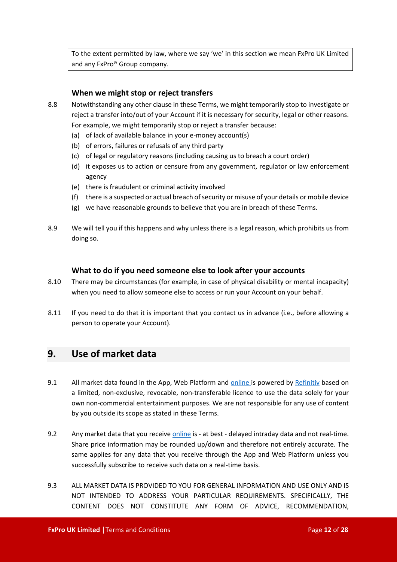To the extent permitted by law, where we say 'we' in this section we mean FxPro UK Limited and any FxPro® Group company.

## **When we might stop or reject transfers**

- 8.8 Notwithstanding any other clause in these Terms, we might temporarily stop to investigate or reject a transfer into/out of your Account if it is necessary for security, legal or other reasons. For example, we might temporarily stop or reject a transfer because:
	- (a) of lack of available balance in your e-money account(s)
	- (b) of errors, failures or refusals of any third party
	- (c) of legal or regulatory reasons (including causing us to breach a court order)
	- (d) it exposes us to action or censure from any government, regulator or law enforcement agency
	- (e) there is fraudulent or criminal activity involved
	- (f) there is a suspected or actual breach of security or misuse of your details or mobile device
	- (g) we have reasonable grounds to believe that you are in breach of these Terms.
- 8.9 We will tell you if this happens and why unless there is a legal reason, which prohibits us from doing so.

#### **What to do if you need someone else to look after your accounts**

- 8.10 There may be circumstances (for example, in case of physical disability or mental incapacity) when you need to allow someone else to access or run your Account on your behalf.
- 8.11 If you need to do that it is important that you contact us in advance (i.e., before allowing a person to operate your Account).

## <span id="page-11-0"></span>**9. Use of market data**

- 9.1 All market data found in the App, Web Platform and [online](https://bnkpro.com/) is powered by [Refinitiv](https://www.refinitiv.com/) based on a limited, non-exclusive, revocable, non-transferable licence to use the data solely for your own non-commercial entertainment purposes. We are not responsible for any use of content by you outside its scope as stated in these Terms.
- 9.2 Any market data that you receiv[e online](https://bnkpro.com/) is at best delayed intraday data and not real-time. Share price information may be rounded up/down and therefore not entirely accurate. The same applies for any data that you receive through the App and Web Platform unless you successfully subscribe to receive such data on a real-time basis.
- 9.3 ALL MARKET DATA IS PROVIDED TO YOU FOR GENERAL INFORMATION AND USE ONLY AND IS NOT INTENDED TO ADDRESS YOUR PARTICULAR REQUIREMENTS. SPECIFICALLY, THE CONTENT DOES NOT CONSTITUTE ANY FORM OF ADVICE, RECOMMENDATION,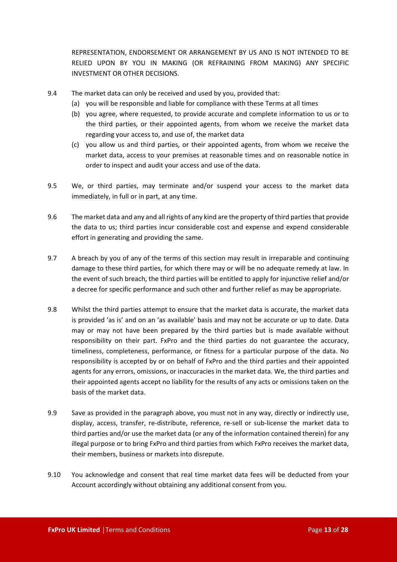REPRESENTATION, ENDORSEMENT OR ARRANGEMENT BY US AND IS NOT INTENDED TO BE RELIED UPON BY YOU IN MAKING (OR REFRAINING FROM MAKING) ANY SPECIFIC INVESTMENT OR OTHER DECISIONS.

- 9.4 The market data can only be received and used by you, provided that:
	- (a) you will be responsible and liable for compliance with these Terms at all times
	- (b) you agree, where requested, to provide accurate and complete information to us or to the third parties, or their appointed agents, from whom we receive the market data regarding your access to, and use of, the market data
	- (c) you allow us and third parties, or their appointed agents, from whom we receive the market data, access to your premises at reasonable times and on reasonable notice in order to inspect and audit your access and use of the data.
- 9.5 We, or third parties, may terminate and/or suspend your access to the market data immediately, in full or in part, at any time.
- 9.6 The market data and any and all rights of any kind are the property of third parties that provide the data to us; third parties incur considerable cost and expense and expend considerable effort in generating and providing the same.
- 9.7 A breach by you of any of the terms of this section may result in irreparable and continuing damage to these third parties, for which there may or will be no adequate remedy at law. In the event of such breach, the third parties will be entitled to apply for injunctive relief and/or a decree for specific performance and such other and further relief as may be appropriate.
- 9.8 Whilst the third parties attempt to ensure that the market data is accurate, the market data is provided 'as is' and on an 'as available' basis and may not be accurate or up to date. Data may or may not have been prepared by the third parties but is made available without responsibility on their part. FxPro and the third parties do not guarantee the accuracy, timeliness, completeness, performance, or fitness for a particular purpose of the data. No responsibility is accepted by or on behalf of FxPro and the third parties and their appointed agents for any errors, omissions, or inaccuracies in the market data. We, the third parties and their appointed agents accept no liability for the results of any acts or omissions taken on the basis of the market data.
- 9.9 Save as provided in the paragraph above, you must not in any way, directly or indirectly use, display, access, transfer, re-distribute, reference, re-sell or sub-license the market data to third parties and/or use the market data (or any of the information contained therein) for any illegal purpose or to bring FxPro and third parties from which FxPro receives the market data, their members, business or markets into disrepute.
- 9.10 You acknowledge and consent that real time market data fees will be deducted from your Account accordingly without obtaining any additional consent from you.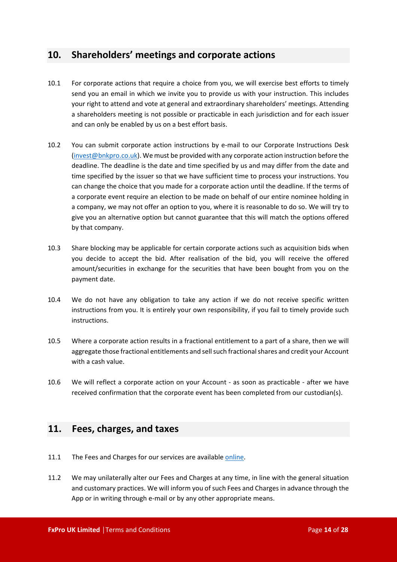# <span id="page-13-0"></span>**10. Shareholders' meetings and corporate actions**

- 10.1 For corporate actions that require a choice from you, we will exercise best efforts to timely send you an email in which we invite you to provide us with your instruction. This includes your right to attend and vote at general and extraordinary shareholders' meetings. Attending a shareholders meeting is not possible or practicable in each jurisdiction and for each issuer and can only be enabled by us on a best effort basis.
- 10.2 You can submit corporate action instructions by e-mail to our Corporate Instructions Desk [\(invest@bnkpro.co.uk\)](mailto:invest@bnkpro.co.uk). We must be provided with any corporate action instruction before the deadline. The deadline is the date and time specified by us and may differ from the date and time specified by the issuer so that we have sufficient time to process your instructions. You can change the choice that you made for a corporate action until the deadline. If the terms of a corporate event require an election to be made on behalf of our entire nominee holding in a company, we may not offer an option to you, where it is reasonable to do so. We will try to give you an alternative option but cannot guarantee that this will match the options offered by that company.
- 10.3 Share blocking may be applicable for certain corporate actions such as acquisition bids when you decide to accept the bid. After realisation of the bid, you will receive the offered amount/securities in exchange for the securities that have been bought from you on the payment date.
- 10.4 We do not have any obligation to take any action if we do not receive specific written instructions from you. It is entirely your own responsibility, if you fail to timely provide such instructions.
- 10.5 Where a corporate action results in a fractional entitlement to a part of a share, then we will aggregate those fractional entitlements and sell such fractional shares and credit your Account with a cash value.
- 10.6 We will reflect a corporate action on your Account as soon as practicable after we have received confirmation that the corporate event has been completed from our custodian(s).

## <span id="page-13-1"></span>**11. Fees, charges, and taxes**

- 11.1 The Fees and Charges for our services are available [online](https://bnkpro.com/).
- 11.2 We may unilaterally alter our Fees and Charges at any time, in line with the general situation and customary practices. We will inform you of such Fees and Charges in advance through the App or in writing through e-mail or by any other appropriate means.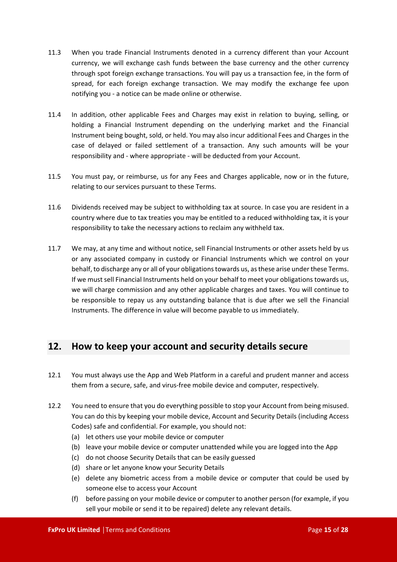- 11.3 When you trade Financial Instruments denoted in a currency different than your Account currency, we will exchange cash funds between the base currency and the other currency through spot foreign exchange transactions. You will pay us a transaction fee, in the form of spread, for each foreign exchange transaction. We may modify the exchange fee upon notifying you - a notice can be made online or otherwise.
- 11.4 In addition, other applicable Fees and Charges may exist in relation to buying, selling, or holding a Financial Instrument depending on the underlying market and the Financial Instrument being bought, sold, or held. You may also incur additional Fees and Charges in the case of delayed or failed settlement of a transaction. Any such amounts will be your responsibility and - where appropriate - will be deducted from your Account.
- 11.5 You must pay, or reimburse, us for any Fees and Charges applicable, now or in the future, relating to our services pursuant to these Terms.
- 11.6 Dividends received may be subject to withholding tax at source. In case you are resident in a country where due to tax treaties you may be entitled to a reduced withholding tax, it is your responsibility to take the necessary actions to reclaim any withheld tax.
- 11.7 We may, at any time and without notice, sell Financial Instruments or other assets held by us or any associated company in custody or Financial Instruments which we control on your behalf, to discharge any or all of your obligations towards us, as these arise under these Terms. If we must sell Financial Instruments held on your behalf to meet your obligations towards us, we will charge commission and any other applicable charges and taxes. You will continue to be responsible to repay us any outstanding balance that is due after we sell the Financial Instruments. The difference in value will become payable to us immediately.

# <span id="page-14-0"></span>**12. How to keep your account and security details secure**

- 12.1 You must always use the App and Web Platform in a careful and prudent manner and access them from a secure, safe, and virus-free mobile device and computer, respectively.
- 12.2 You need to ensure that you do everything possible to stop your Account from being misused. You can do this by keeping your mobile device, Account and Security Details (including Access Codes) safe and confidential. For example, you should not:
	- (a) let others use your mobile device or computer
	- (b) leave your mobile device or computer unattended while you are logged into the App
	- (c) do not choose Security Details that can be easily guessed
	- (d) share or let anyone know your Security Details
	- (e) delete any biometric access from a mobile device or computer that could be used by someone else to access your Account
	- (f) before passing on your mobile device or computer to another person (for example, if you sell your mobile or send it to be repaired) delete any relevant details.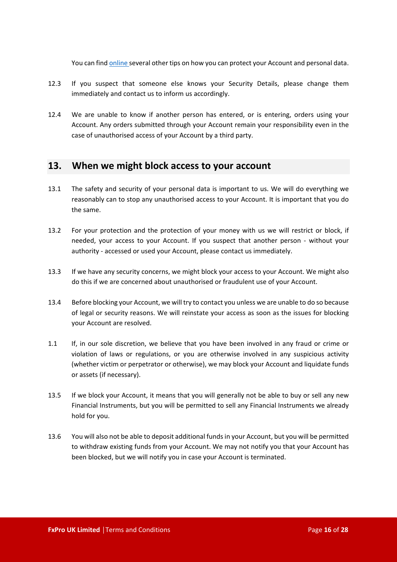You can find [online](https://bnkpro.com/) several other tips on how you can protect your Account and personal data.

- 12.3 If you suspect that someone else knows your Security Details, please change them immediately and contact us to inform us accordingly.
- 12.4 We are unable to know if another person has entered, or is entering, orders using your Account. Any orders submitted through your Account remain your responsibility even in the case of unauthorised access of your Account by a third party.

## <span id="page-15-0"></span>**13. When we might block access to your account**

- 13.1 The safety and security of your personal data is important to us. We will do everything we reasonably can to stop any unauthorised access to your Account. It is important that you do the same.
- 13.2 For your protection and the protection of your money with us we will restrict or block, if needed, your access to your Account. If you suspect that another person - without your authority - accessed or used your Account, please contact us immediately.
- 13.3 If we have any security concerns, we might block your access to your Account. We might also do this if we are concerned about unauthorised or fraudulent use of your Account.
- 13.4 Before blocking your Account, we will try to contact you unless we are unable to do so because of legal or security reasons. We will reinstate your access as soon as the issues for blocking your Account are resolved.
- 1.1 If, in our sole discretion, we believe that you have been involved in any fraud or crime or violation of laws or regulations, or you are otherwise involved in any suspicious activity (whether victim or perpetrator or otherwise), we may block your Account and liquidate funds or assets (if necessary).
- 13.5 If we block your Account, it means that you will generally not be able to buy or sell any new Financial Instruments, but you will be permitted to sell any Financial Instruments we already hold for you.
- 13.6 You will also not be able to deposit additional funds in your Account, but you will be permitted to withdraw existing funds from your Account. We may not notify you that your Account has been blocked, but we will notify you in case your Account is terminated.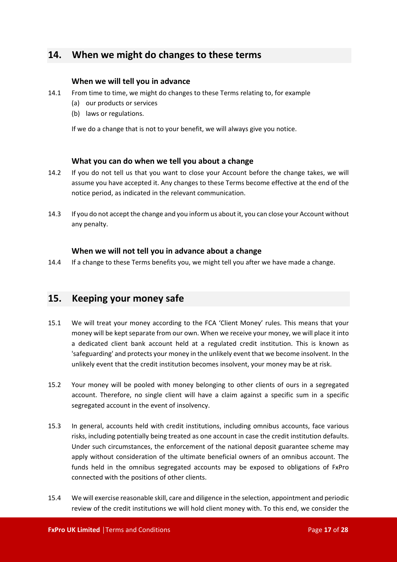# <span id="page-16-0"></span>**14. When we might do changes to these terms**

## **When we will tell you in advance**

- 14.1 From time to time, we might do changes to these Terms relating to, for example
	- (a) our products or services
	- (b) laws or regulations.

If we do a change that is not to your benefit, we will always give you notice.

## **What you can do when we tell you about a change**

- 14.2 If you do not tell us that you want to close your Account before the change takes, we will assume you have accepted it. Any changes to these Terms become effective at the end of the notice period, as indicated in the relevant communication.
- 14.3 If you do not accept the change and you inform us about it, you can close your Account without any penalty.

## **When we will not tell you in advance about a change**

14.4 If a change to these Terms benefits you, we might tell you after we have made a change.

# <span id="page-16-1"></span>**15. Keeping your money safe**

- 15.1 We will treat your money according to the FCA 'Client Money' rules. This means that your money will be kept separate from our own. When we receive your money, we will place it into a dedicated client bank account held at a regulated credit institution. This is known as 'safeguarding' and protects your money in the unlikely event that we become insolvent. In the unlikely event that the credit institution becomes insolvent, your money may be at risk.
- 15.2 Your money will be pooled with money belonging to other clients of ours in a segregated account. Therefore, no single client will have a claim against a specific sum in a specific segregated account in the event of insolvency.
- 15.3 In general, accounts held with credit institutions, including omnibus accounts, face various risks, including potentially being treated as one account in case the credit institution defaults. Under such circumstances, the enforcement of the national deposit guarantee scheme may apply without consideration of the ultimate beneficial owners of an omnibus account. The funds held in the omnibus segregated accounts may be exposed to obligations of FxPro connected with the positions of other clients.
- 15.4 We will exercise reasonable skill, care and diligence in the selection, appointment and periodic review of the credit institutions we will hold client money with. To this end, we consider the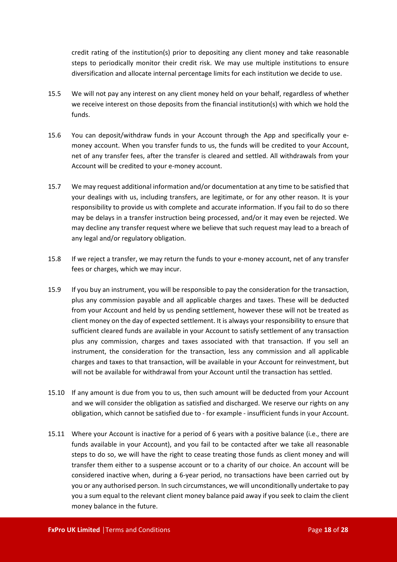credit rating of the institution(s) prior to depositing any client money and take reasonable steps to periodically monitor their credit risk. We may use multiple institutions to ensure diversification and allocate internal percentage limits for each institution we decide to use.

- 15.5 We will not pay any interest on any client money held on your behalf, regardless of whether we receive interest on those deposits from the financial institution(s) with which we hold the funds.
- 15.6 You can deposit/withdraw funds in your Account through the App and specifically your emoney account. When you transfer funds to us, the funds will be credited to your Account, net of any transfer fees, after the transfer is cleared and settled. All withdrawals from your Account will be credited to your e-money account.
- 15.7 We may request additional information and/or documentation at any time to be satisfied that your dealings with us, including transfers, are legitimate, or for any other reason. It is your responsibility to provide us with complete and accurate information. If you fail to do so there may be delays in a transfer instruction being processed, and/or it may even be rejected. We may decline any transfer request where we believe that such request may lead to a breach of any legal and/or regulatory obligation.
- 15.8 If we reject a transfer, we may return the funds to your e-money account, net of any transfer fees or charges, which we may incur.
- 15.9 If you buy an instrument, you will be responsible to pay the consideration for the transaction, plus any commission payable and all applicable charges and taxes. These will be deducted from your Account and held by us pending settlement, however these will not be treated as client money on the day of expected settlement. It is always your responsibility to ensure that sufficient cleared funds are available in your Account to satisfy settlement of any transaction plus any commission, charges and taxes associated with that transaction. If you sell an instrument, the consideration for the transaction, less any commission and all applicable charges and taxes to that transaction, will be available in your Account for reinvestment, but will not be available for withdrawal from your Account until the transaction has settled.
- 15.10 If any amount is due from you to us, then such amount will be deducted from your Account and we will consider the obligation as satisfied and discharged. We reserve our rights on any obligation, which cannot be satisfied due to - for example - insufficient funds in your Account.
- 15.11 Where your Account is inactive for a period of 6 years with a positive balance (i.e., there are funds available in your Account), and you fail to be contacted after we take all reasonable steps to do so, we will have the right to cease treating those funds as client money and will transfer them either to a suspense account or to a charity of our choice. An account will be considered inactive when, during a 6-year period, no transactions have been carried out by you or any authorised person. In such circumstances, we will unconditionally undertake to pay you a sum equal to the relevant client money balance paid away if you seek to claim the client money balance in the future.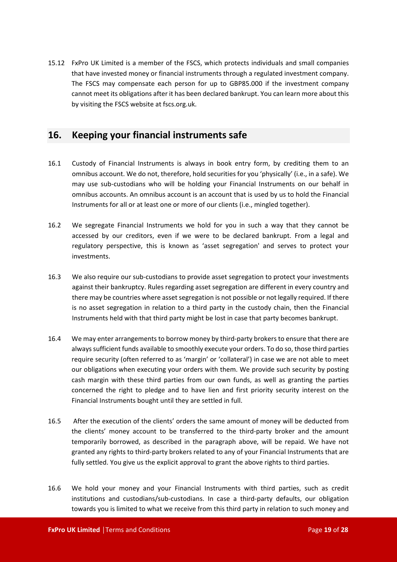15.12 FxPro UK Limited is a member of the FSCS, which protects individuals and small companies that have invested money or financial instruments through a regulated investment company. The FSCS may compensate each person for up to GBP85.000 if the investment company cannot meet its obligations after it has been declared bankrupt. You can learn more about this by visiting the FSCS website at fscs.org.uk.

# <span id="page-18-0"></span>**16. Keeping your financial instruments safe**

- 16.1 Custody of Financial Instruments is always in book entry form, by crediting them to an omnibus account. We do not, therefore, hold securities for you 'physically' (i.e., in a safe). We may use sub-custodians who will be holding your Financial Instruments on our behalf in omnibus accounts. An omnibus account is an account that is used by us to hold the Financial Instruments for all or at least one or more of our clients (i.e., mingled together).
- 16.2 We segregate Financial Instruments we hold for you in such a way that they cannot be accessed by our creditors, even if we were to be declared bankrupt. From a legal and regulatory perspective, this is known as 'asset segregation' and serves to protect your investments.
- 16.3 We also require our sub-custodians to provide asset segregation to protect your investments against their bankruptcy. Rules regarding asset segregation are different in every country and there may be countries where asset segregation is not possible or not legally required. If there is no asset segregation in relation to a third party in the custody chain, then the Financial Instruments held with that third party might be lost in case that party becomes bankrupt.
- 16.4 We may enter arrangements to borrow money by third-party brokers to ensure that there are always sufficient funds available to smoothly execute your orders. To do so, those third parties require security (often referred to as 'margin' or 'collateral') in case we are not able to meet our obligations when executing your orders with them. We provide such security by posting cash margin with these third parties from our own funds, as well as granting the parties concerned the right to pledge and to have lien and first priority security interest on the Financial Instruments bought until they are settled in full.
- 16.5 After the execution of the clients' orders the same amount of money will be deducted from the clients' money account to be transferred to the third-party broker and the amount temporarily borrowed, as described in the paragraph above, will be repaid. We have not granted any rights to third-party brokers related to any of your Financial Instruments that are fully settled. You give us the explicit approval to grant the above rights to third parties.
- 16.6 We hold your money and your Financial Instruments with third parties, such as credit institutions and custodians/sub-custodians. In case a third-party defaults, our obligation towards you is limited to what we receive from this third party in relation to such money and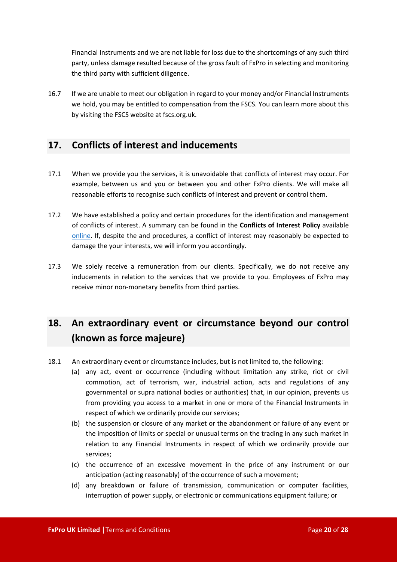Financial Instruments and we are not liable for loss due to the shortcomings of any such third party, unless damage resulted because of the gross fault of FxPro in selecting and monitoring the third party with sufficient diligence.

16.7 If we are unable to meet our obligation in regard to your money and/or Financial Instruments we hold, you may be entitled to compensation from the FSCS. You can learn more about this by visiting the FSCS website at fscs.org.uk.

# <span id="page-19-0"></span>**17. Conflicts of interest and inducements**

- 17.1 When we provide you the services, it is unavoidable that conflicts of interest may occur. For example, between us and you or between you and other FxPro clients. We will make all reasonable efforts to recognise such conflicts of interest and prevent or control them.
- 17.2 We have established a policy and certain procedures for the identification and management of conflicts of interest. A summary can be found in the **Conflicts of Interest Policy** available [online.](https://bnkpro.com/) If, despite the and procedures, a conflict of interest may reasonably be expected to damage the your interests, we will inform you accordingly.
- 17.3 We solely receive a remuneration from our clients. Specifically, we do not receive any inducements in relation to the services that we provide to you. Employees of FxPro may receive minor non-monetary benefits from third parties.

# <span id="page-19-1"></span>**18. An extraordinary event or circumstance beyond our control (known as force majeure)**

- 18.1 An extraordinary event or circumstance includes, but is not limited to, the following:
	- (a) any act, event or occurrence (including without limitation any strike, riot or civil commotion, act of terrorism, war, industrial action, acts and regulations of any governmental or supra national bodies or authorities) that, in our opinion, prevents us from providing you access to a market in one or more of the Financial Instruments in respect of which we ordinarily provide our services;
	- (b) the suspension or closure of any market or the abandonment or failure of any event or the imposition of limits or special or unusual terms on the trading in any such market in relation to any Financial Instruments in respect of which we ordinarily provide our services;
	- (c) the occurrence of an excessive movement in the price of any instrument or our anticipation (acting reasonably) of the occurrence of such a movement;
	- (d) any breakdown or failure of transmission, communication or computer facilities, interruption of power supply, or electronic or communications equipment failure; or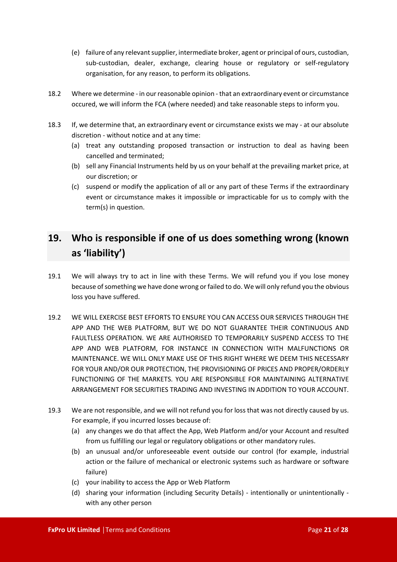- (e) failure of any relevant supplier, intermediate broker, agent or principal of ours, custodian, sub-custodian, dealer, exchange, clearing house or regulatory or self-regulatory organisation, for any reason, to perform its obligations.
- 18.2 Where we determine in our reasonable opinion that an extraordinary event or circumstance occured, we will inform the FCA (where needed) and take reasonable steps to inform you.
- 18.3 If, we determine that, an extraordinary event or circumstance exists we may at our absolute discretion - without notice and at any time:
	- (a) treat any outstanding proposed transaction or instruction to deal as having been cancelled and terminated;
	- (b) sell any Financial Instruments held by us on your behalf at the prevailing market price, at our discretion; or
	- (c) suspend or modify the application of all or any part of these Terms if the extraordinary event or circumstance makes it impossible or impracticable for us to comply with the term(s) in question.

# <span id="page-20-0"></span>**19. Who is responsible if one of us does something wrong (known as 'liability')**

- 19.1 We will always try to act in line with these Terms. We will refund you if you lose money because of something we have done wrong or failed to do. We will only refund you the obvious loss you have suffered.
- 19.2 WE WILL EXERCISE BEST EFFORTS TO ENSURE YOU CAN ACCESS OUR SERVICES THROUGH THE APP AND THE WEB PLATFORM, BUT WE DO NOT GUARANTEE THEIR CONTINUOUS AND FAULTLESS OPERATION. WE ARE AUTHORISED TO TEMPORARILY SUSPEND ACCESS TO THE APP AND WEB PLATFORM, FOR INSTANCE IN CONNECTION WITH MALFUNCTIONS OR MAINTENANCE. WE WILL ONLY MAKE USE OF THIS RIGHT WHERE WE DEEM THIS NECESSARY FOR YOUR AND/OR OUR PROTECTION, THE PROVISIONING OF PRICES AND PROPER/ORDERLY FUNCTIONING OF THE MARKETS. YOU ARE RESPONSIBLE FOR MAINTAINING ALTERNATIVE ARRANGEMENT FOR SECURITIES TRADING AND INVESTING IN ADDITION TO YOUR ACCOUNT.
- 19.3 We are not responsible, and we will not refund you for loss that was not directly caused by us. For example, if you incurred losses because of:
	- (a) any changes we do that affect the App, Web Platform and/or your Account and resulted from us fulfilling our legal or regulatory obligations or other mandatory rules.
	- (b) an unusual and/or unforeseeable event outside our control (for example, industrial action or the failure of mechanical or electronic systems such as hardware or software failure)
	- (c) your inability to access the App or Web Platform
	- (d) sharing your information (including Security Details) intentionally or unintentionally with any other person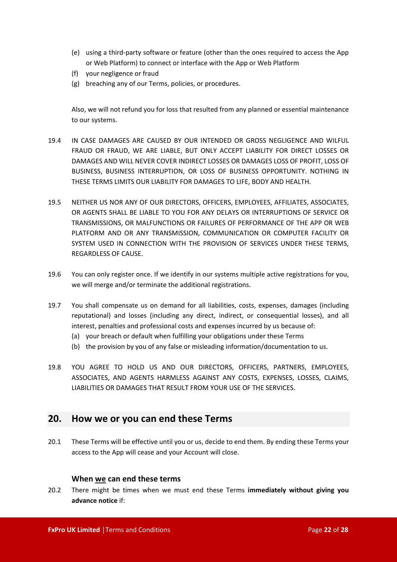- (e) using a third-party software or feature (other than the ones required to access the App or Web Platform) to connect or interface with the App or Web Platform
- (f) your negligence or fraud
- (g) breaching any of our Terms, policies, or procedures.

Also, we will not refund you for loss that resulted from any planned or essential maintenance to our systems.

- 19.4 IN CASE DAMAGES ARE CAUSED BY OUR INTENDED OR GROSS NEGLIGENCE AND WILFUL FRAUD OR FRAUD, WE ARE LIABLE, BUT ONLY ACCEPT LIABILITY FOR DIRECT LOSSES OR DAMAGES AND WILL NEVER COVER INDIRECT LOSSES OR DAMAGES LOSS OF PROFIT, LOSS OF BUSINESS, BUSINESS INTERRUPTION, OR LOSS OF BUSINESS OPPORTUNITY. NOTHING IN THESE TERMS LIMITS OUR LIABILITY FOR DAMAGES TO LIFE, BODY AND HEALTH.
- 19.5 NEITHER US NOR ANY OF OUR DIRECTORS, OFFICERS, EMPLOYEES, AFFILIATES, ASSOCIATES, OR AGENTS SHALL BE LIABLE TO YOU FOR ANY DELAYS OR INTERRUPTIONS OF SERVICE OR TRANSMISSIONS, OR MALFUNCTIONS OR FAILURES OF PERFORMANCE OF THE APP OR WEB PLATFORM AND OR ANY TRANSMISSION, COMMUNICATION OR COMPUTER FACILITY OR SYSTEM USED IN CONNECTION WITH THE PROVISION OF SERVICES UNDER THESE TERMS, REGARDLESS OF CAUSE.
- 19.6 You can only register once. If we identify in our systems multiple active registrations for you, we will merge and/or terminate the additional registrations.
- 19.7 You shall compensate us on demand for all liabilities, costs, expenses, damages (including reputational) and losses (including any direct, indirect, or consequential losses), and all interest, penalties and professional costs and expenses incurred by us because of:
	- (a) your breach or default when fulfilling your obligations under these Terms
	- (b) the provision by you of any false or misleading information/documentation to us.
- 19.8 YOU AGREE TO HOLD US AND OUR DIRECTORS, OFFICERS, PARTNERS, EMPLOYEES, ASSOCIATES, AND AGENTS HARMLESS AGAINST ANY COSTS, EXPENSES, LOSSES, CLAIMS, LIABILITIES OR DAMAGES THAT RESULT FROM YOUR USE OF THE SERVICES.

## <span id="page-21-0"></span>**20. How we or you can end these Terms**

20.1 These Terms will be effective until you or us, decide to end them. By ending these Terms your access to the App will cease and your Account will close.

#### **When we can end these terms**

20.2 There might be times when we must end these Terms **immediately without giving you advance notice** if: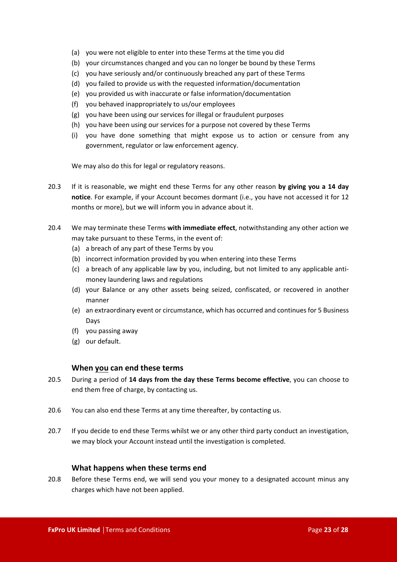- (a) you were not eligible to enter into these Terms at the time you did
- (b) your circumstances changed and you can no longer be bound by these Terms
- (c) you have seriously and/or continuously breached any part of these Terms
- (d) you failed to provide us with the requested information/documentation
- (e) you provided us with inaccurate or false information/documentation
- (f) you behaved inappropriately to us/our employees
- (g) you have been using our services for illegal or fraudulent purposes
- (h) you have been using our services for a purpose not covered by these Terms
- (i) you have done something that might expose us to action or censure from any government, regulator or law enforcement agency.

We may also do this for legal or regulatory reasons.

- 20.3 If it is reasonable, we might end these Terms for any other reason **by giving you a 14 day notice**. For example, if your Account becomes dormant (i.e., you have not accessed it for 12 months or more), but we will inform you in advance about it.
- 20.4 We may terminate these Terms **with immediate effect**, notwithstanding any other action we may take pursuant to these Terms, in the event of:
	- (a) a breach of any part of these Terms by you
	- (b) incorrect information provided by you when entering into these Terms
	- (c) a breach of any applicable law by you, including, but not limited to any applicable antimoney laundering laws and regulations
	- (d) your Balance or any other assets being seized, confiscated, or recovered in another manner
	- (e) an extraordinary event or circumstance, which has occurred and continues for 5 Business Days
	- (f) you passing away
	- (g) our default.

#### **When you can end these terms**

- 20.5 During a period of **14 days from the day these Terms become effective**, you can choose to end them free of charge, by contacting us.
- 20.6 You can also end these Terms at any time thereafter, by contacting us.
- 20.7 If you decide to end these Terms whilst we or any other third party conduct an investigation, we may block your Account instead until the investigation is completed.

#### **What happens when these terms end**

20.8 Before these Terms end, we will send you your money to a designated account minus any charges which have not been applied.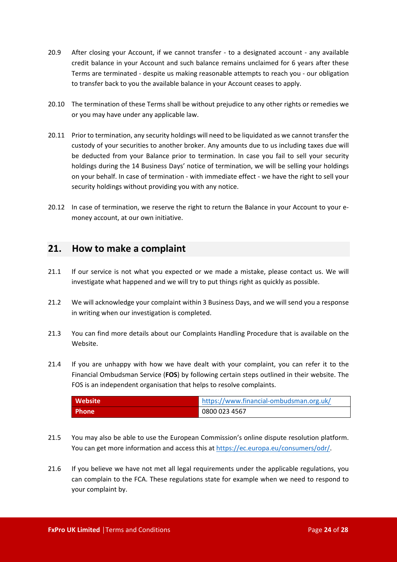- 20.9 After closing your Account, if we cannot transfer to a designated account any available credit balance in your Account and such balance remains unclaimed for 6 years after these Terms are terminated - despite us making reasonable attempts to reach you - our obligation to transfer back to you the available balance in your Account ceases to apply.
- 20.10 The termination of these Terms shall be without prejudice to any other rights or remedies we or you may have under any applicable law.
- 20.11 Prior to termination, any security holdings will need to be liquidated as we cannot transfer the custody of your securities to another broker. Any amounts due to us including taxes due will be deducted from your Balance prior to termination. In case you fail to sell your security holdings during the 14 Business Days' notice of termination, we will be selling your holdings on your behalf. In case of termination - with immediate effect - we have the right to sell your security holdings without providing you with any notice.
- 20.12 In case of termination, we reserve the right to return the Balance in your Account to your emoney account, at our own initiative.

## <span id="page-23-0"></span>**21. How to make a complaint**

- 21.1 If our service is not what you expected or we made a mistake, please contact us. We will investigate what happened and we will try to put things right as quickly as possible.
- 21.2 We will acknowledge your complaint within 3 Business Days, and we will send you a response in writing when our investigation is completed.
- 21.3 You can find more details about our Complaints Handling Procedure that is available on the Website.
- 21.4 If you are unhappy with how we have dealt with your complaint, you can refer it to the Financial Ombudsman Service (**FOS**) by following certain steps outlined in their website. The FOS is an independent organisation that helps to resolve complaints.

| Website      | https://www.financial-ombudsman.org.uk/ |
|--------------|-----------------------------------------|
| <b>Phone</b> | 0800 023 4567                           |

- 21.5 You may also be able to use the European Commission's online dispute resolution platform. You can get more information and access this at <https://ec.europa.eu/consumers/odr/>.
- 21.6 If you believe we have not met all legal requirements under the applicable regulations, you can complain to the FCA. These regulations state for example when we need to respond to your complaint by.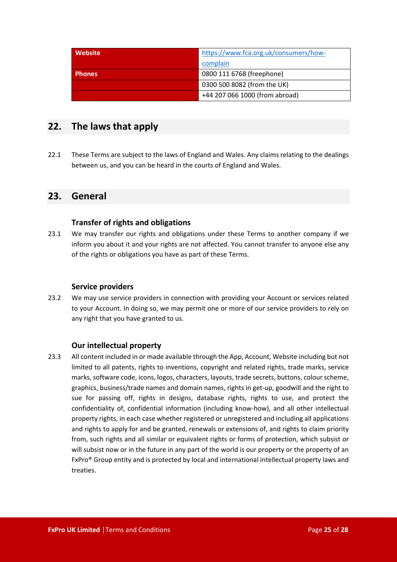| Website       | https://www.fca.org.uk/consumers/how- |
|---------------|---------------------------------------|
|               | complain                              |
| <b>Phones</b> | 0800 111 6768 (freephone)             |
|               | 0300 500 8082 (from the UK)           |
|               | +44 207 066 1000 (from abroad)        |

# <span id="page-24-0"></span>**22. The laws that apply**

22.1 These Terms are subject to the laws of England and Wales. Any claims relating to the dealings between us, and you can be heard in the courts of England and Wales.

# <span id="page-24-1"></span>**23. General**

## **Transfer of rights and obligations**

23.1 We may transfer our rights and obligations under these Terms to another company if we inform you about it and your rights are not affected. You cannot transfer to anyone else any of the rights or obligations you have as part of these Terms.

## **Service providers**

23.2 We may use service providers in connection with providing your Account or services related to your Account. In doing so, we may permit one or more of our service providers to rely on any right that you have granted to us.

## **Our intellectual property**

23.3 All content included in or made available through the App, Account, Website including but not limited to all patents, rights to inventions, copyright and related rights, trade marks, service marks, software code, icons, logos, characters, layouts, trade secrets, buttons, colour scheme, graphics, business/trade names and domain names, rights in get-up, goodwill and the right to sue for passing off, rights in designs, database rights, rights to use, and protect the confidentiality of, confidential information (including know-how), and all other intellectual property rights, in each case whether registered or unregistered and including all applications and rights to apply for and be granted, renewals or extensions of, and rights to claim priority from, such rights and all similar or equivalent rights or forms of protection, which subsist or will subsist now or in the future in any part of the world is our property or the property of an FxPro® Group entity and is protected by local and international intellectual property laws and treaties.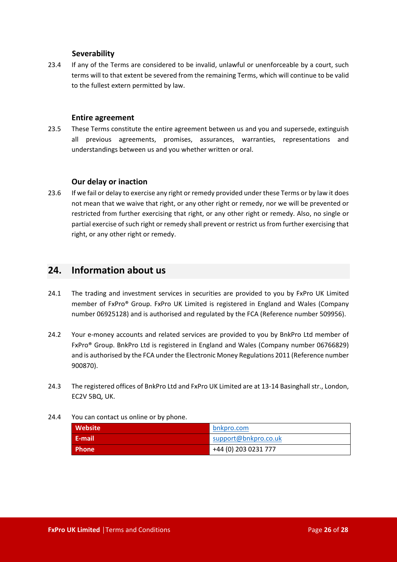#### **Severability**

23.4 If any of the Terms are considered to be invalid, unlawful or unenforceable by a court, such terms will to that extent be severed from the remaining Terms, which will continue to be valid to the fullest extern permitted by law.

#### **Entire agreement**

23.5 These Terms constitute the entire agreement between us and you and supersede, extinguish all previous agreements, promises, assurances, warranties, representations and understandings between us and you whether written or oral.

## **Our delay or inaction**

23.6 If we fail or delay to exercise any right or remedy provided under these Terms or by law it does not mean that we waive that right, or any other right or remedy, nor we will be prevented or restricted from further exercising that right, or any other right or remedy. Also, no single or partial exercise of such right or remedy shall prevent or restrict us from further exercising that right, or any other right or remedy.

## <span id="page-25-0"></span>**24. Information about us**

- 24.1 The trading and investment services in securities are provided to you by FxPro UK Limited member of FxPro® Group. FxPro UK Limited is registered in England and Wales (Company number 06925128) and is authorised and regulated by the FCA (Reference number 509956).
- 24.2 Your e-money accounts and related services are provided to you by BnkPro Ltd member of FxPro® Group. BnkPro Ltd is registered in England and Wales (Company number 06766829) and is authorised by the FCA under the Electronic Money Regulations 2011 (Reference number 900870).
- 24.3 The registered offices of BnkPro Ltd and FxPro UK Limited are at 13-14 Basinghall str., London, EC2V 5BQ, UK.
- 24.4 You can contact us online or by phone.

| <b>Website</b> | bnkpro.com           |
|----------------|----------------------|
| -E-mail        | support@bnkpro.co.uk |
| <b>Phone</b>   | +44 (0) 203 0231 777 |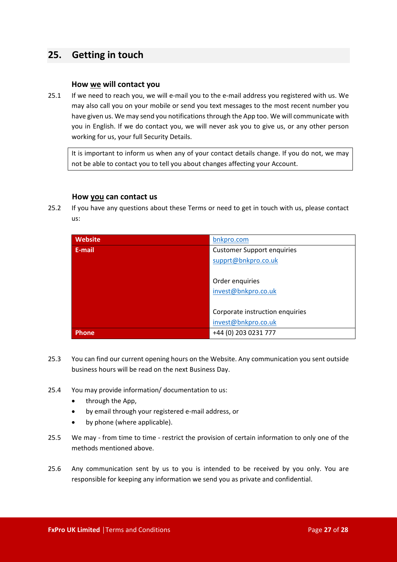# <span id="page-26-0"></span>**25. Getting in touch**

#### **How we will contact you**

25.1 If we need to reach you, we will e-mail you to the e-mail address you registered with us. We may also call you on your mobile or send you text messages to the most recent number you have given us. We may send you notifications through the App too. We will communicate with you in English. If we do contact you, we will never ask you to give us, or any other person working for us, your full Security Details.

It is important to inform us when any of your contact details change. If you do not, we may not be able to contact you to tell you about changes affecting your Account.

#### **How you can contact us**

25.2 If you have any questions about these Terms or need to get in touch with us, please contact us:

| <b>Website</b> | bnkpro.com                        |
|----------------|-----------------------------------|
| E-mail         | <b>Customer Support enquiries</b> |
|                | supprt@bnkpro.co.uk               |
|                |                                   |
|                | Order enquiries                   |
|                | invest@bnkpro.co.uk               |
|                |                                   |
|                | Corporate instruction enquiries   |
|                | invest@bnkpro.co.uk               |
| Phone          | +44 (0) 203 0231 777              |

- 25.3 You can find our current opening hours on the Website. Any communication you sent outside business hours will be read on the next Business Day.
- 25.4 You may provide information/ documentation to us:
	- through the App,
	- by email through your registered e-mail address, or
	- by phone (where applicable).
- 25.5 We may from time to time restrict the provision of certain information to only one of the methods mentioned above.
- 25.6 Any communication sent by us to you is intended to be received by you only. You are responsible for keeping any information we send you as private and confidential.